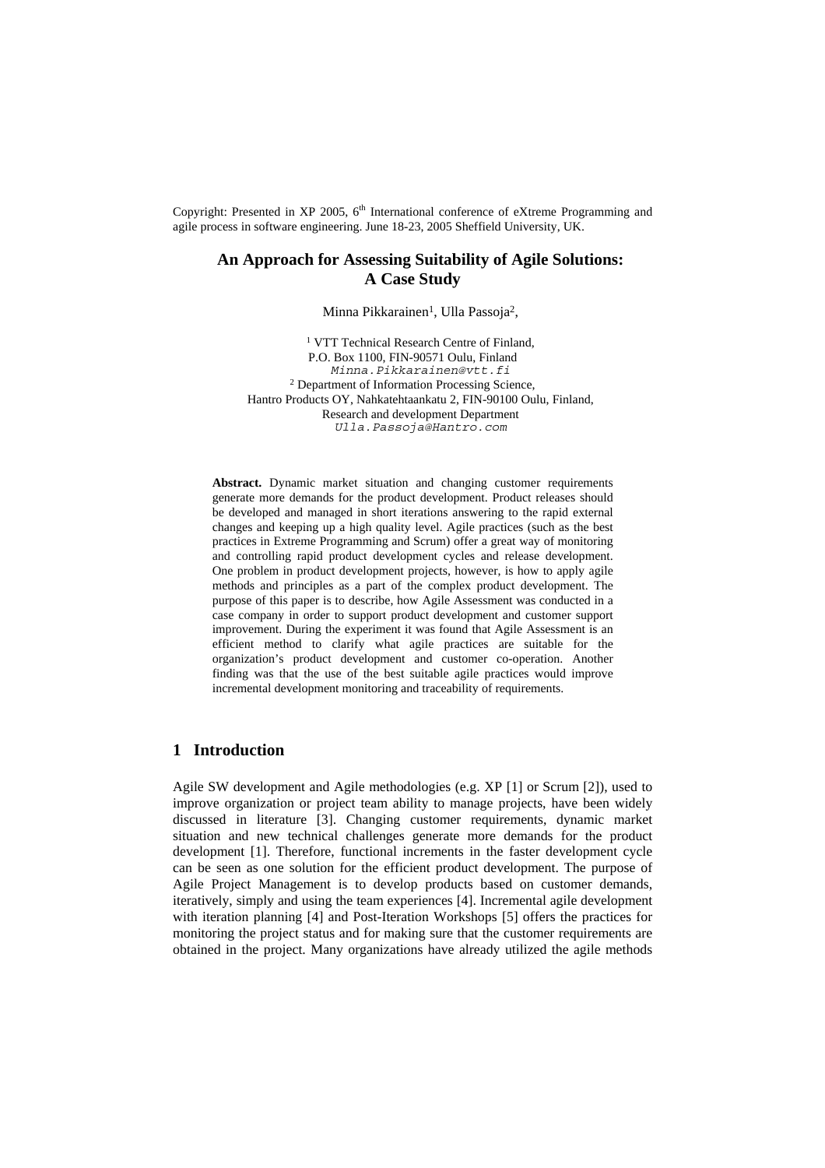Copyright: Presented in XP 2005, 6<sup>th</sup> International conference of eXtreme Programming and agile process in software engineering. June 18-23, 2005 Sheffield University, UK.

# **An Approach for Assessing Suitability of Agile Solutions: A Case Study**

Minna Pikkarainen<sup>1</sup>, Ulla Passoja<sup>2</sup>,

<sup>1</sup> VTT Technical Research Centre of Finland, P.O. Box 1100, FIN-90571 Oulu, Finland *Minna.Pikkarainen@vtt.fi* 2 Department of Information Processing Science, Hantro Products OY, Nahkatehtaankatu 2, FIN-90100 Oulu, Finland, Research and development Department *Ulla.Passoja@Hantro.com* 

Abstract. Dynamic market situation and changing customer requirements generate more demands for the product development. Product releases should be developed and managed in short iterations answering to the rapid external changes and keeping up a high quality level. Agile practices (such as the best practices in Extreme Programming and Scrum) offer a great way of monitoring and controlling rapid product development cycles and release development. One problem in product development projects, however, is how to apply agile methods and principles as a part of the complex product development. The purpose of this paper is to describe, how Agile Assessment was conducted in a case company in order to support product development and customer support improvement. During the experiment it was found that Agile Assessment is an efficient method to clarify what agile practices are suitable for the organization's product development and customer co-operation. Another finding was that the use of the best suitable agile practices would improve incremental development monitoring and traceability of requirements.

## **1 Introduction**

Agile SW development and Agile methodologies (e.g. XP [1] or Scrum [2]), used to improve organization or project team ability to manage projects, have been widely discussed in literature [3]. Changing customer requirements, dynamic market situation and new technical challenges generate more demands for the product development [1]. Therefore, functional increments in the faster development cycle can be seen as one solution for the efficient product development. The purpose of Agile Project Management is to develop products based on customer demands, iteratively, simply and using the team experiences [4]. Incremental agile development with iteration planning [4] and Post-Iteration Workshops [5] offers the practices for monitoring the project status and for making sure that the customer requirements are obtained in the project. Many organizations have already utilized the agile methods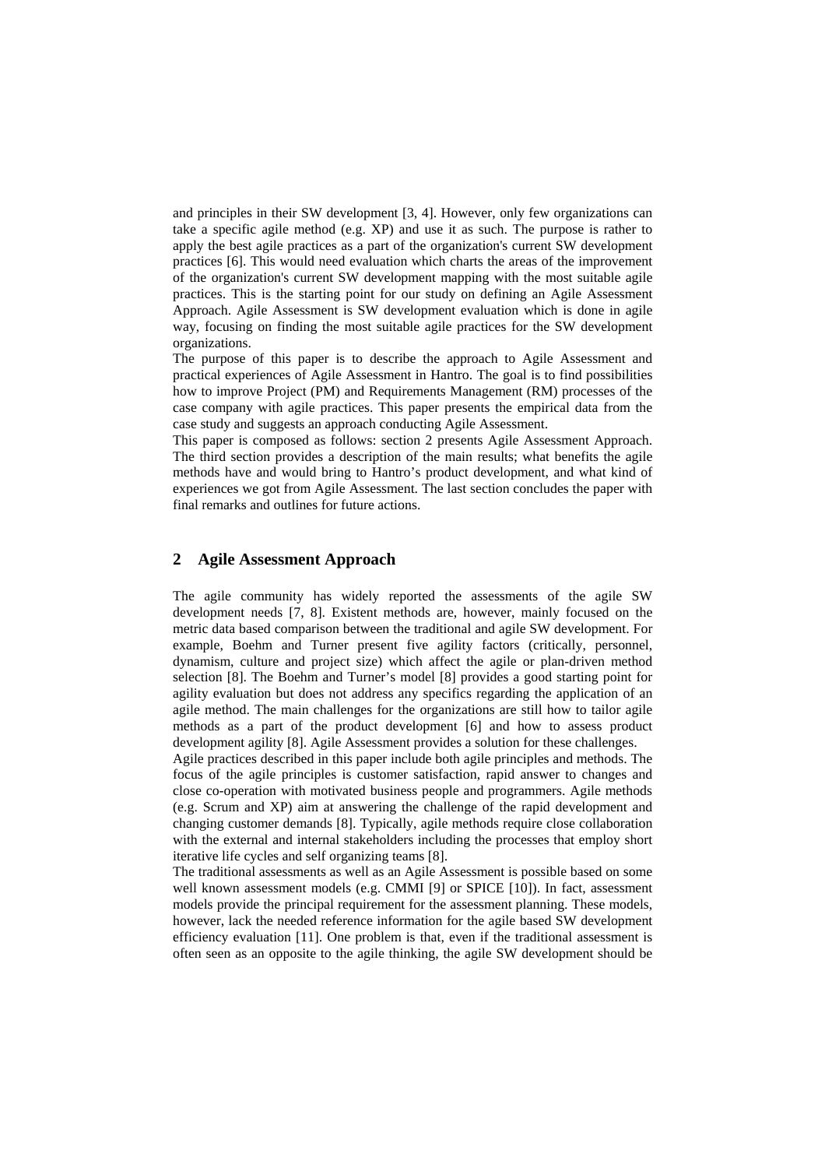and principles in their SW development [3, 4]. However, only few organizations can take a specific agile method (e.g.  $XP$ ) and use it as such. The purpose is rather to apply the best agile practices as a part of the organization's current SW development practices [6]. This would need evaluation which charts the areas of the improvement of the organization's current SW development mapping with the most suitable agile practices. This is the starting point for our study on defining an Agile Assessment Approach. Agile Assessment is SW development evaluation which is done in agile way, focusing on finding the most suitable agile practices for the SW development organizations.

The purpose of this paper is to describe the approach to Agile Assessment and practical experiences of Agile Assessment in Hantro. The goal is to find possibilities how to improve Project (PM) and Requirements Management (RM) processes of the case company with agile practices. This paper presents the empirical data from the case study and suggests an approach conducting Agile Assessment.

This paper is composed as follows: section 2 presents Agile Assessment Approach. The third section provides a description of the main results; what benefits the agile methods have and would bring to Hantro's product development, and what kind of experiences we got from Agile Assessment. The last section concludes the paper with final remarks and outlines for future actions.

## **2 Agile Assessment Approach**

The agile community has widely reported the assessments of the agile SW development needs [7, 8]. Existent methods are, however, mainly focused on the metric data based comparison between the traditional and agile SW development. For example, Boehm and Turner present five agility factors (critically, personnel, dynamism, culture and project size) which affect the agile or plan-driven method selection [8]. The Boehm and Turner's model [8] provides a good starting point for agility evaluation but does not address any specifics regarding the application of an agile method. The main challenges for the organizations are still how to tailor agile methods as a part of the product development [6] and how to assess product development agility [8]. Agile Assessment provides a solution for these challenges.

Agile practices described in this paper include both agile principles and methods. The focus of the agile principles is customer satisfaction, rapid answer to changes and close co-operation with motivated business people and programmers. Agile methods (e.g. Scrum and XP) aim at answering the challenge of the rapid development and changing customer demands [8]. Typically, agile methods require close collaboration with the external and internal stakeholders including the processes that employ short iterative life cycles and self organizing teams [8].

The traditional assessments as well as an Agile Assessment is possible based on some well known assessment models (e.g. CMMI [9] or SPICE [10]). In fact, assessment models provide the principal requirement for the assessment planning. These models, however, lack the needed reference information for the agile based SW development efficiency evaluation [11]. One problem is that, even if the traditional assessment is often seen as an opposite to the agile thinking, the agile SW development should be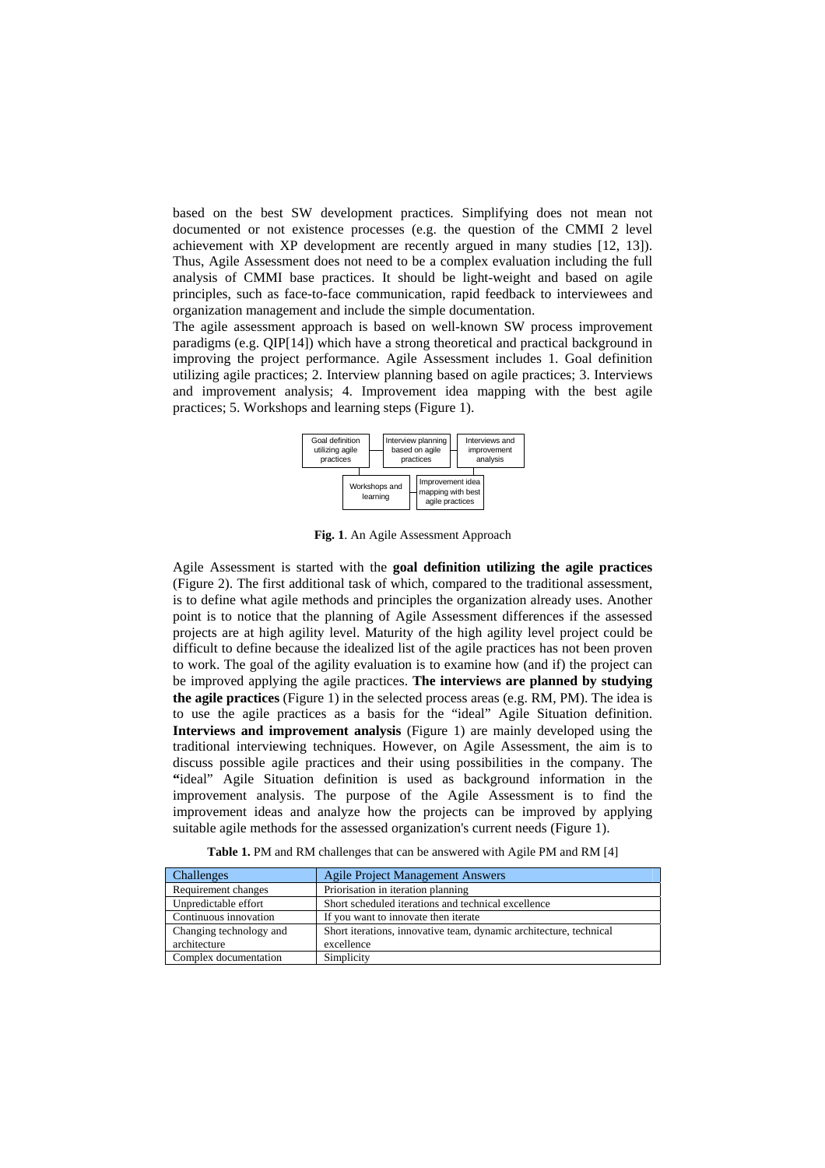based on the best SW development practices. Simplifying does not mean not documented or not existence processes (e.g. the question of the CMMI 2 level achievement with XP development are recently argued in many studies [12, 13]). Thus, Agile Assessment does not need to be a complex evaluation including the full analysis of CMMI base practices. It should be light-weight and based on agile principles, such as face-to-face communication, rapid feedback to interviewees and organization management and include the simple documentation.

The agile assessment approach is based on well-known SW process improvement paradigms (e.g. QIP[14]) which have a strong theoretical and practical background in improving the project performance. Agile Assessment includes 1. Goal definition utilizing agile practices; 2. Interview planning based on agile practices; 3. Interviews and improvement analysis; 4. Improvement idea mapping with the best agile practices; 5. Workshops and learning steps (Figure 1).



**Fig. 1**. An Agile Assessment Approach

Agile Assessment is started with the **goal definition utilizing the agile practices**  (Figure 2). The first additional task of which, compared to the traditional assessment, is to define what agile methods and principles the organization already uses. Another point is to notice that the planning of Agile Assessment differences if the assessed projects are at high agility level. Maturity of the high agility level project could be difficult to define because the idealized list of the agile practices has not been proven to work. The goal of the agility evaluation is to examine how (and if) the project can be improved applying the agile practices. **The interviews are planned by studying the agile practices** (Figure 1) in the selected process areas (e.g. RM, PM). The idea is to use the agile practices as a basis for the "ideal" Agile Situation definition. **Interviews and improvement analysis** (Figure 1) are mainly developed using the traditional interviewing techniques. However, on Agile Assessment, the aim is to discuss possible agile practices and their using possibilities in the company. The **"**ideal" Agile Situation definition is used as background information in the improvement analysis. The purpose of the Agile Assessment is to find the improvement ideas and analyze how the projects can be improved by applying suitable agile methods for the assessed organization's current needs (Figure 1).

**Table 1.** PM and RM challenges that can be answered with Agile PM and RM [4]

| Challenges              | <b>Agile Project Management Answers</b>                            |
|-------------------------|--------------------------------------------------------------------|
| Requirement changes     | Priorisation in iteration planning                                 |
| Unpredictable effort    | Short scheduled iterations and technical excellence                |
| Continuous innovation   | If you want to innovate then iterate                               |
| Changing technology and | Short iterations, innovative team, dynamic architecture, technical |
| architecture            | excellence                                                         |
| Complex documentation   | Simplicity                                                         |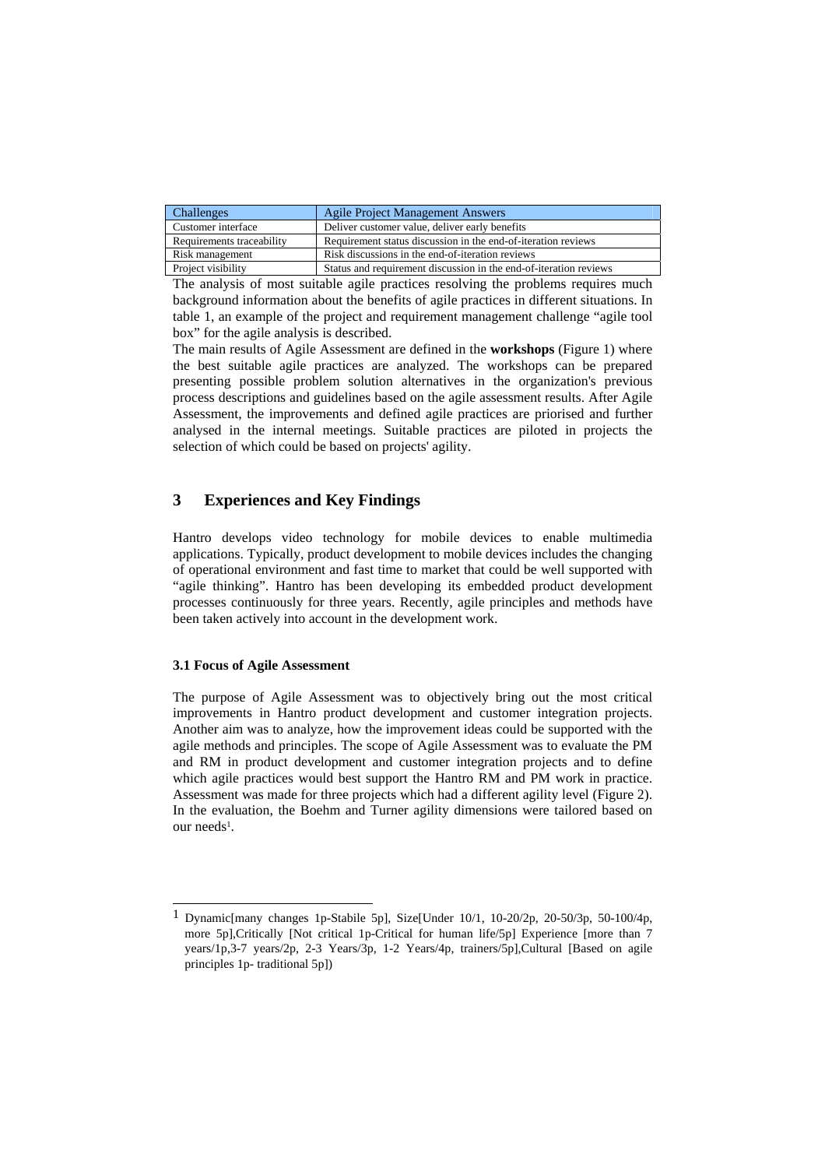| <b>Challenges</b>         | <b>Agile Project Management Answers</b>                           |
|---------------------------|-------------------------------------------------------------------|
| Customer interface        | Deliver customer value, deliver early benefits                    |
| Requirements traceability | Requirement status discussion in the end-of-iteration reviews     |
| Risk management           | Risk discussions in the end-of-iteration reviews                  |
| Project visibility        | Status and requirement discussion in the end-of-iteration reviews |

The analysis of most suitable agile practices resolving the problems requires much background information about the benefits of agile practices in different situations. In table 1, an example of the project and requirement management challenge "agile tool box" for the agile analysis is described.

The main results of Agile Assessment are defined in the **workshops** (Figure 1) where the best suitable agile practices are analyzed. The workshops can be prepared presenting possible problem solution alternatives in the organization's previous process descriptions and guidelines based on the agile assessment results. After Agile Assessment, the improvements and defined agile practices are priorised and further analysed in the internal meetings. Suitable practices are piloted in projects the selection of which could be based on projects' agility.

### **3 Experiences and Key Findings**

Hantro develops video technology for mobile devices to enable multimedia applications. Typically, product development to mobile devices includes the changing of operational environment and fast time to market that could be well supported with "agile thinking". Hantro has been developing its embedded product development processes continuously for three years. Recently, agile principles and methods have been taken actively into account in the development work.

#### **3.1 Focus of Agile Assessment**

l

The purpose of Agile Assessment was to objectively bring out the most critical improvements in Hantro product development and customer integration projects. Another aim was to analyze, how the improvement ideas could be supported with the agile methods and principles. The scope of Agile Assessment was to evaluate the PM and RM in product development and customer integration projects and to define which agile practices would best support the Hantro RM and PM work in practice. Assessment was made for three projects which had a different agility level (Figure 2). In the evaluation, the Boehm and Turner agility dimensions were tailored based on our needs1.

<sup>1</sup> Dynamic[many changes 1p-Stabile 5p], Size[Under 10/1, 10-20/2p, 20-50/3p, 50-100/4p, more 5p],Critically [Not critical 1p-Critical for human life/5p] Experience [more than 7 years/1p,3-7 years/2p, 2-3 Years/3p, 1-2 Years/4p, trainers/5p],Cultural [Based on agile principles 1p- traditional 5p])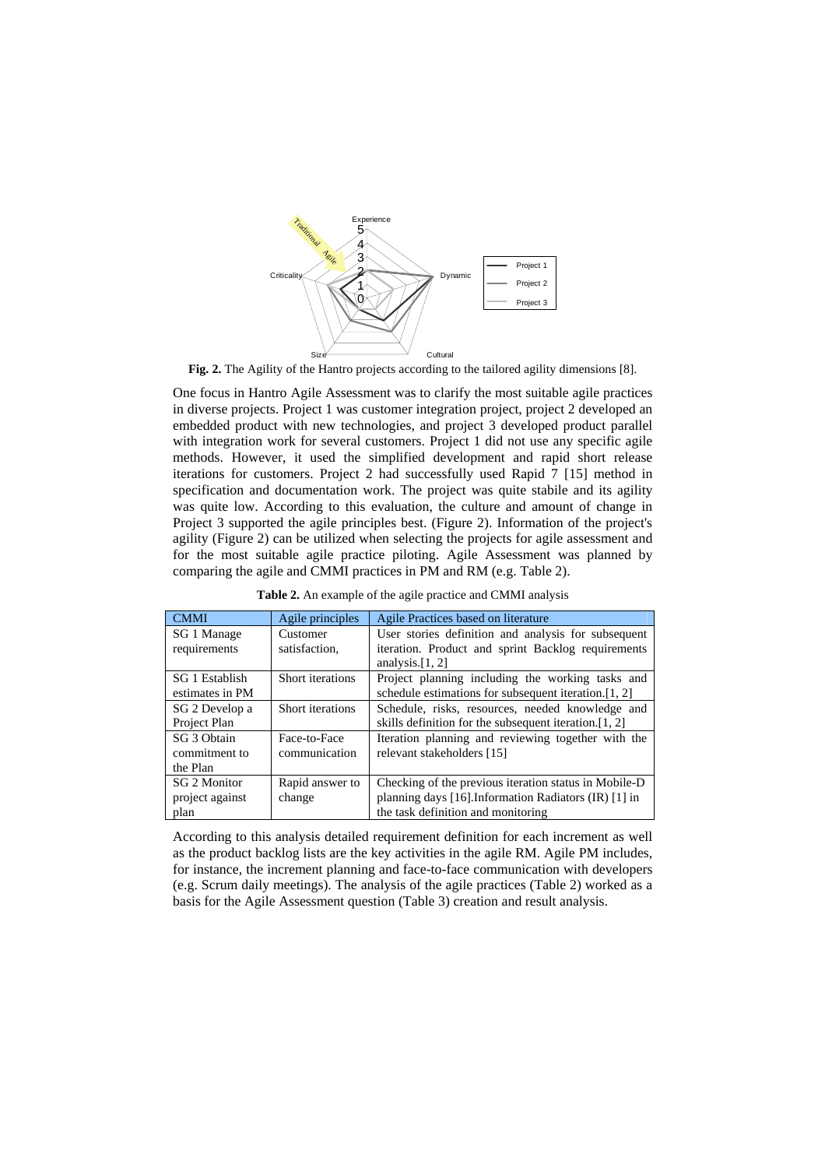

**Fig. 2.** The Agility of the Hantro projects according to the tailored agility dimensions [8].

One focus in Hantro Agile Assessment was to clarify the most suitable agile practices in diverse projects. Project 1 was customer integration project, project 2 developed an embedded product with new technologies, and project 3 developed product parallel with integration work for several customers. Project 1 did not use any specific agile methods. However, it used the simplified development and rapid short release iterations for customers. Project 2 had successfully used Rapid 7 [15] method in specification and documentation work. The project was quite stabile and its agility was quite low. According to this evaluation, the culture and amount of change in Project 3 supported the agile principles best. (Figure 2). Information of the project's agility (Figure 2) can be utilized when selecting the projects for agile assessment and for the most suitable agile practice piloting. Agile Assessment was planned by comparing the agile and CMMI practices in PM and RM (e.g. Table 2).

**Table 2.** An example of the agile practice and CMMI analysis

| <b>CMMI</b>     | Agile principles | Agile Practices based on literature                   |
|-----------------|------------------|-------------------------------------------------------|
| SG 1 Manage     | Customer         | User stories definition and analysis for subsequent   |
| requirements    | satisfaction,    | iteration. Product and sprint Backlog requirements    |
|                 |                  | analysis. $[1, 2]$                                    |
| SG 1 Establish  | Short iterations | Project planning including the working tasks and      |
| estimates in PM |                  | schedule estimations for subsequent iteration.[1, 2]  |
| SG 2 Develop a  | Short iterations | Schedule, risks, resources, needed knowledge and      |
| Project Plan    |                  | skills definition for the subsequent iteration.[1, 2] |
| SG 3 Obtain     | Face-to-Face     | Iteration planning and reviewing together with the    |
| commitment to   | communication    | relevant stakeholders [15]                            |
| the Plan        |                  |                                                       |
| SG 2 Monitor    | Rapid answer to  | Checking of the previous iteration status in Mobile-D |
| project against | change           | planning days [16]. Information Radiators (IR) [1] in |
| plan            |                  | the task definition and monitoring                    |

According to this analysis detailed requirement definition for each increment as well as the product backlog lists are the key activities in the agile RM. Agile PM includes, for instance, the increment planning and face-to-face communication with developers (e.g. Scrum daily meetings). The analysis of the agile practices (Table 2) worked as a basis for the Agile Assessment question (Table 3) creation and result analysis.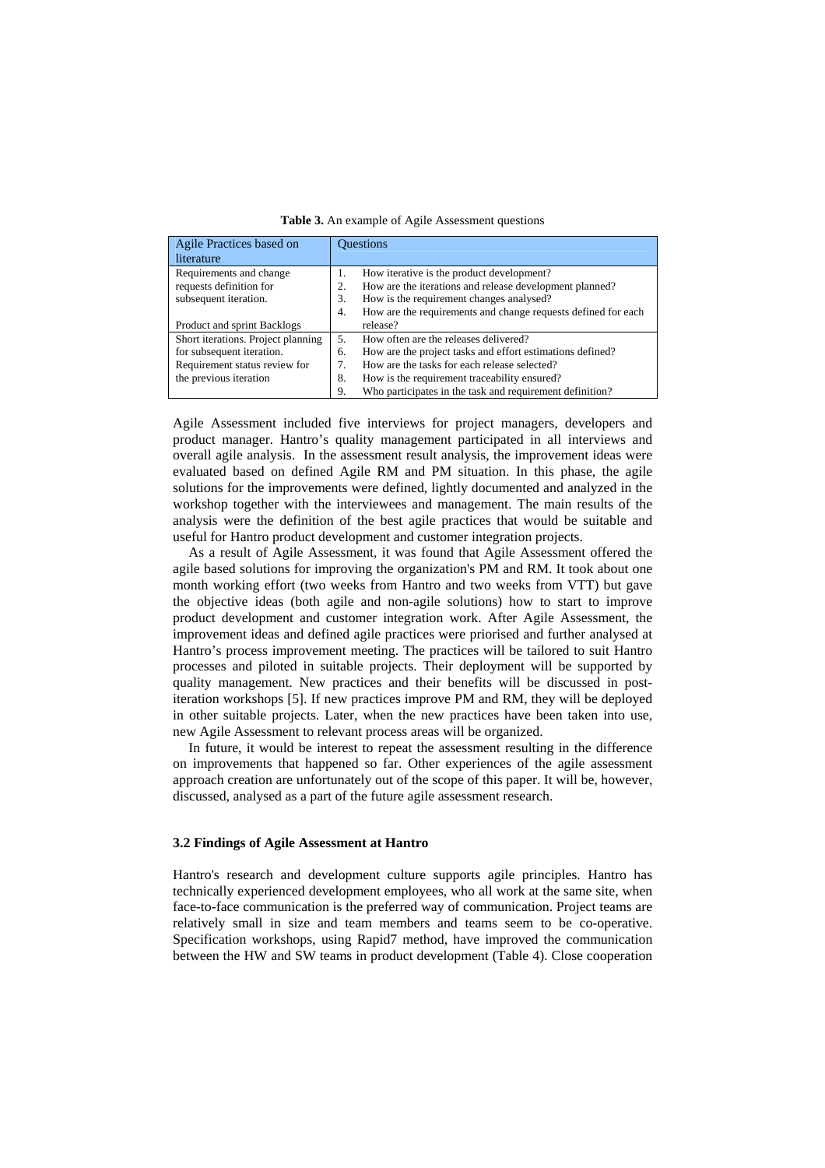| Agile Practices based on<br>literature | <b>Ouestions</b>                                                    |
|----------------------------------------|---------------------------------------------------------------------|
|                                        |                                                                     |
| Requirements and change                | How iterative is the product development?<br>1.                     |
| requests definition for                | How are the iterations and release development planned?<br>2.       |
| subsequent iteration.                  | How is the requirement changes analysed?<br>3.                      |
|                                        | How are the requirements and change requests defined for each<br>4. |
| Product and sprint Backlogs            | release?                                                            |
| Short iterations. Project planning     | How often are the releases delivered?<br>5.                         |
| for subsequent iteration.              | How are the project tasks and effort estimations defined?<br>6.     |
| Requirement status review for          | How are the tasks for each release selected?<br>7.                  |
| the previous iteration                 | How is the requirement traceability ensured?<br>8.                  |
|                                        | Who participates in the task and requirement definition?<br>9.      |

**Table 3.** An example of Agile Assessment questions

Agile Assessment included five interviews for project managers, developers and product manager. Hantro's quality management participated in all interviews and overall agile analysis. In the assessment result analysis, the improvement ideas were evaluated based on defined Agile RM and PM situation. In this phase, the agile solutions for the improvements were defined, lightly documented and analyzed in the workshop together with the interviewees and management. The main results of the analysis were the definition of the best agile practices that would be suitable and useful for Hantro product development and customer integration projects.

As a result of Agile Assessment, it was found that Agile Assessment offered the agile based solutions for improving the organization's PM and RM. It took about one month working effort (two weeks from Hantro and two weeks from VTT) but gave the objective ideas (both agile and non-agile solutions) how to start to improve product development and customer integration work. After Agile Assessment, the improvement ideas and defined agile practices were priorised and further analysed at Hantro's process improvement meeting. The practices will be tailored to suit Hantro processes and piloted in suitable projects. Their deployment will be supported by quality management. New practices and their benefits will be discussed in postiteration workshops [5]. If new practices improve PM and RM, they will be deployed in other suitable projects. Later, when the new practices have been taken into use, new Agile Assessment to relevant process areas will be organized.

In future, it would be interest to repeat the assessment resulting in the difference on improvements that happened so far. Other experiences of the agile assessment approach creation are unfortunately out of the scope of this paper. It will be, however, discussed, analysed as a part of the future agile assessment research.

#### **3.2 Findings of Agile Assessment at Hantro**

Hantro's research and development culture supports agile principles. Hantro has technically experienced development employees, who all work at the same site, when face-to-face communication is the preferred way of communication. Project teams are relatively small in size and team members and teams seem to be co-operative. Specification workshops, using Rapid7 method, have improved the communication between the HW and SW teams in product development (Table 4). Close cooperation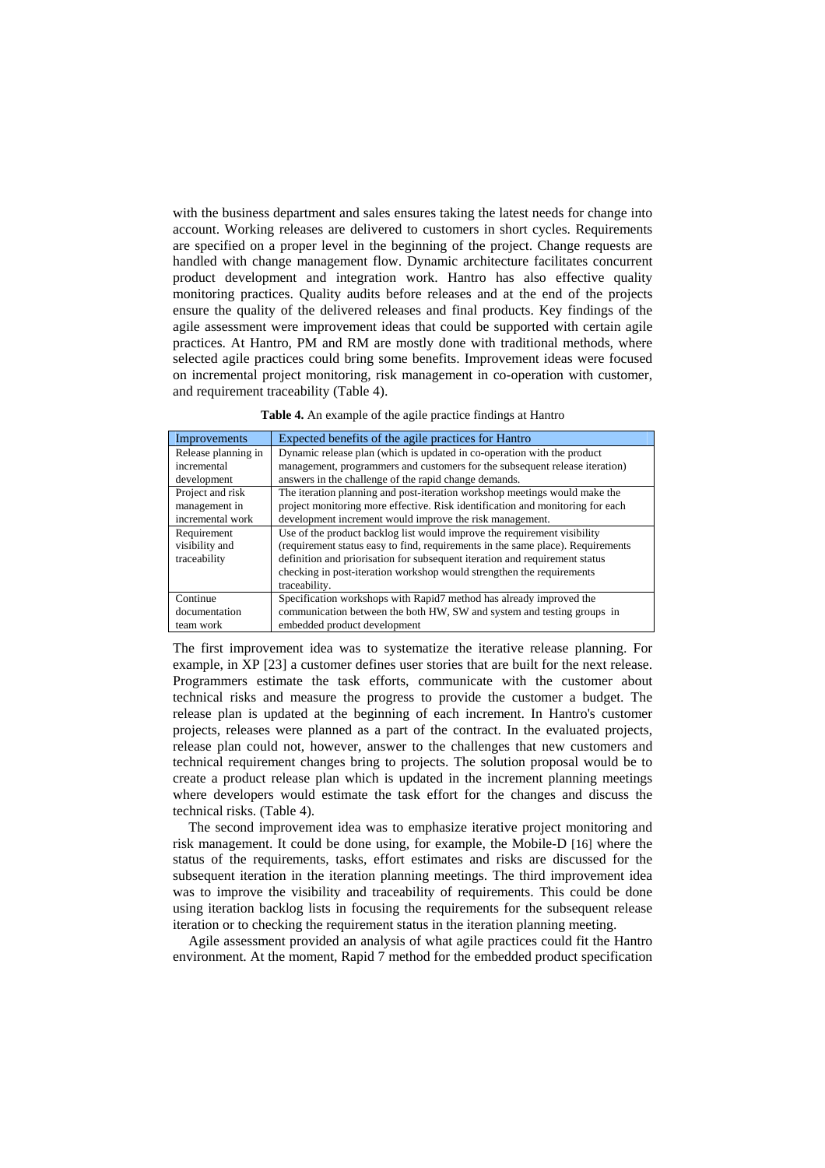with the business department and sales ensures taking the latest needs for change into account. Working releases are delivered to customers in short cycles. Requirements are specified on a proper level in the beginning of the project. Change requests are handled with change management flow. Dynamic architecture facilitates concurrent product development and integration work. Hantro has also effective quality monitoring practices. Quality audits before releases and at the end of the projects ensure the quality of the delivered releases and final products. Key findings of the agile assessment were improvement ideas that could be supported with certain agile practices. At Hantro, PM and RM are mostly done with traditional methods, where selected agile practices could bring some benefits. Improvement ideas were focused on incremental project monitoring, risk management in co-operation with customer, and requirement traceability (Table 4).

| Improvements        | Expected benefits of the agile practices for Hantro                             |
|---------------------|---------------------------------------------------------------------------------|
| Release planning in | Dynamic release plan (which is updated in co-operation with the product         |
| incremental         | management, programmers and customers for the subsequent release iteration)     |
| development         | answers in the challenge of the rapid change demands.                           |
| Project and risk    | The iteration planning and post-iteration workshop meetings would make the      |
| management in       | project monitoring more effective. Risk identification and monitoring for each  |
| incremental work    | development increment would improve the risk management.                        |
| Requirement         | Use of the product backlog list would improve the requirement visibility        |
| visibility and      | (requirement status easy to find, requirements in the same place). Requirements |
| traceability        | definition and priorisation for subsequent iteration and requirement status     |
|                     | checking in post-iteration workshop would strengthen the requirements           |
|                     | traceability.                                                                   |
| Continue            | Specification workshops with Rapid <sub>7</sub> method has already improved the |
| documentation       | communication between the both HW, SW and system and testing groups in          |
| team work           | embedded product development                                                    |

The first improvement idea was to systematize the iterative release planning. For example, in XP [23] a customer defines user stories that are built for the next release. Programmers estimate the task efforts, communicate with the customer about technical risks and measure the progress to provide the customer a budget. The release plan is updated at the beginning of each increment. In Hantro's customer projects, releases were planned as a part of the contract. In the evaluated projects, release plan could not, however, answer to the challenges that new customers and technical requirement changes bring to projects. The solution proposal would be to create a product release plan which is updated in the increment planning meetings where developers would estimate the task effort for the changes and discuss the technical risks. (Table 4).

The second improvement idea was to emphasize iterative project monitoring and risk management. It could be done using, for example, the Mobile-D [16] where the status of the requirements, tasks, effort estimates and risks are discussed for the subsequent iteration in the iteration planning meetings. The third improvement idea was to improve the visibility and traceability of requirements. This could be done using iteration backlog lists in focusing the requirements for the subsequent release iteration or to checking the requirement status in the iteration planning meeting.

Agile assessment provided an analysis of what agile practices could fit the Hantro environment. At the moment, Rapid 7 method for the embedded product specification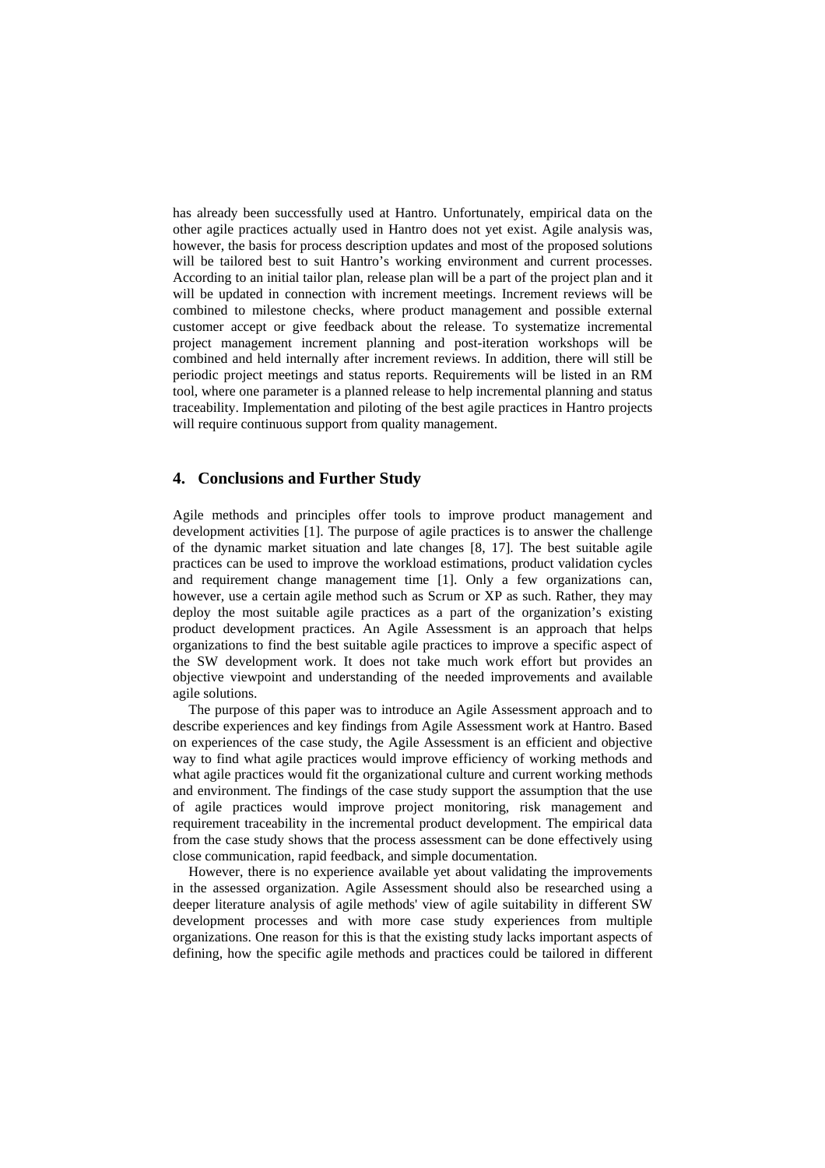has already been successfully used at Hantro. Unfortunately, empirical data on the other agile practices actually used in Hantro does not yet exist. Agile analysis was, however, the basis for process description updates and most of the proposed solutions will be tailored best to suit Hantro's working environment and current processes. According to an initial tailor plan, release plan will be a part of the project plan and it will be updated in connection with increment meetings. Increment reviews will be combined to milestone checks, where product management and possible external customer accept or give feedback about the release. To systematize incremental project management increment planning and post-iteration workshops will be combined and held internally after increment reviews. In addition, there will still be periodic project meetings and status reports. Requirements will be listed in an RM tool, where one parameter is a planned release to help incremental planning and status traceability. Implementation and piloting of the best agile practices in Hantro projects will require continuous support from quality management.

### **4. Conclusions and Further Study**

Agile methods and principles offer tools to improve product management and development activities [1]. The purpose of agile practices is to answer the challenge of the dynamic market situation and late changes [8, 17]. The best suitable agile practices can be used to improve the workload estimations, product validation cycles and requirement change management time [1]. Only a few organizations can, however, use a certain agile method such as Scrum or XP as such. Rather, they may deploy the most suitable agile practices as a part of the organization's existing product development practices. An Agile Assessment is an approach that helps organizations to find the best suitable agile practices to improve a specific aspect of the SW development work. It does not take much work effort but provides an objective viewpoint and understanding of the needed improvements and available agile solutions.

The purpose of this paper was to introduce an Agile Assessment approach and to describe experiences and key findings from Agile Assessment work at Hantro. Based on experiences of the case study, the Agile Assessment is an efficient and objective way to find what agile practices would improve efficiency of working methods and what agile practices would fit the organizational culture and current working methods and environment. The findings of the case study support the assumption that the use of agile practices would improve project monitoring, risk management and requirement traceability in the incremental product development. The empirical data from the case study shows that the process assessment can be done effectively using close communication, rapid feedback, and simple documentation.

However, there is no experience available yet about validating the improvements in the assessed organization. Agile Assessment should also be researched using a deeper literature analysis of agile methods' view of agile suitability in different SW development processes and with more case study experiences from multiple organizations. One reason for this is that the existing study lacks important aspects of defining, how the specific agile methods and practices could be tailored in different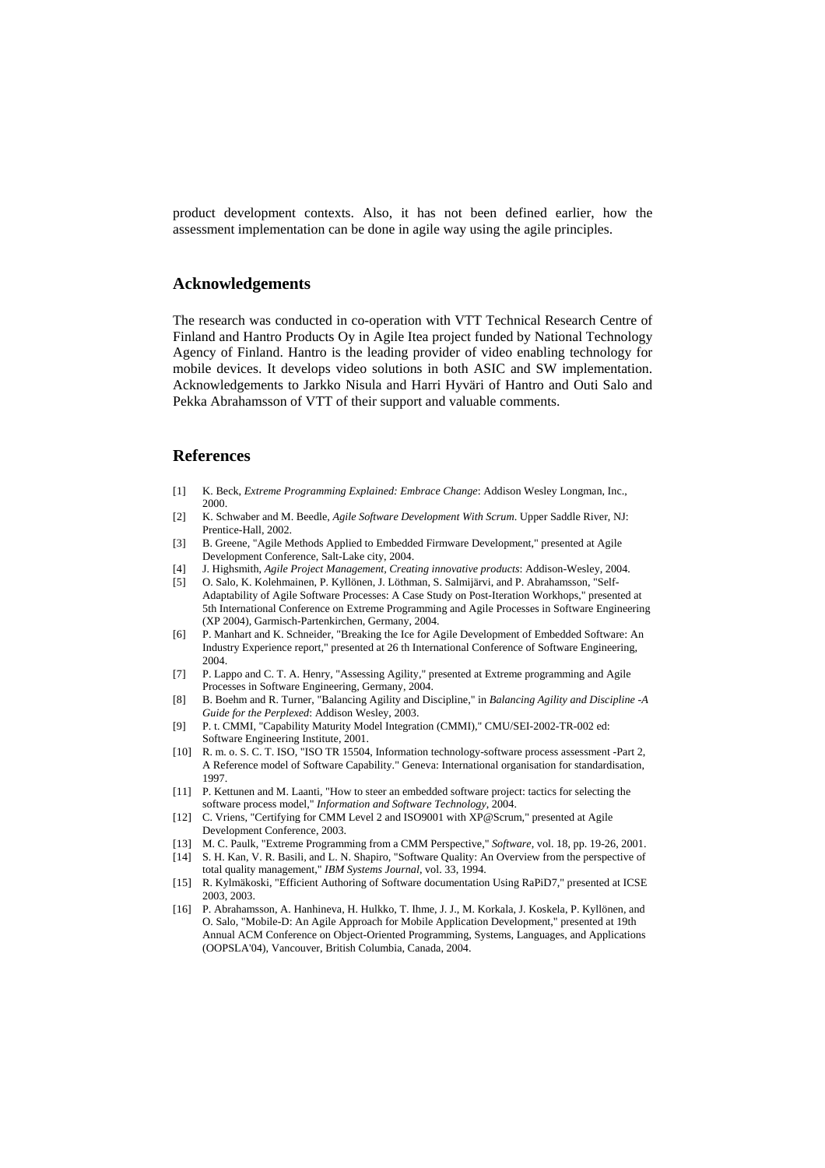product development contexts. Also, it has not been defined earlier, how the assessment implementation can be done in agile way using the agile principles.

### **Acknowledgements**

The research was conducted in co-operation with VTT Technical Research Centre of Finland and Hantro Products Oy in Agile Itea project funded by National Technology Agency of Finland. Hantro is the leading provider of video enabling technology for mobile devices. It develops video solutions in both ASIC and SW implementation. Acknowledgements to Jarkko Nisula and Harri Hyväri of Hantro and Outi Salo and Pekka Abrahamsson of VTT of their support and valuable comments.

### **References**

- [1] K. Beck, *Extreme Programming Explained: Embrace Change*: Addison Wesley Longman, Inc., 2000.
- [2] K. Schwaber and M. Beedle, *Agile Software Development With Scrum*. Upper Saddle River, NJ: Prentice-Hall, 2002.
- [3] B. Greene, "Agile Methods Applied to Embedded Firmware Development," presented at Agile Development Conference, Salt-Lake city, 2004.
- [4] J. Highsmith, *Agile Project Management, Creating innovative products*: Addison-Wesley, 2004.
- [5] O. Salo, K. Kolehmainen, P. Kyllönen, J. Löthman, S. Salmijärvi, and P. Abrahamsson, "Self-Adaptability of Agile Software Processes: A Case Study on Post-Iteration Workhops," presented at 5th International Conference on Extreme Programming and Agile Processes in Software Engineering (XP 2004), Garmisch-Partenkirchen, Germany, 2004.
- [6] P. Manhart and K. Schneider, "Breaking the Ice for Agile Development of Embedded Software: An Industry Experience report," presented at 26 th International Conference of Software Engineering, 2004.
- [7] P. Lappo and C. T. A. Henry, "Assessing Agility," presented at Extreme programming and Agile Processes in Software Engineering, Germany, 2004.
- [8] B. Boehm and R. Turner, "Balancing Agility and Discipline," in *Balancing Agility and Discipline -A Guide for the Perplexed*: Addison Wesley, 2003.
- [9] P. t. CMMI, "Capability Maturity Model Integration (CMMI)," CMU/SEI-2002-TR-002 ed: Software Engineering Institute, 2001.
- [10] R. m. o. S. C. T. ISO, "ISO TR 15504, Information technology-software process assessment -Part 2, A Reference model of Software Capability." Geneva: International organisation for standardisation, 1997.
- [11] P. Kettunen and M. Laanti, "How to steer an embedded software project: tactics for selecting the software process model," *Information and Software Technology*, 2004.
- [12] C. Vriens, "Certifying for CMM Level 2 and ISO9001 with XP@Scrum," presented at Agile Development Conference, 2003.
- [13] M. C. Paulk, "Extreme Programming from a CMM Perspective," *Software*, vol. 18, pp. 19-26, 2001.
- [14] S. H. Kan, V. R. Basili, and L. N. Shapiro, "Software Quality: An Overview from the perspective of total quality management," *IBM Systems Journal*, vol. 33, 1994.
- [15] R. Kylmäkoski, "Efficient Authoring of Software documentation Using RaPiD7," presented at ICSE 2003, 2003.
- [16] P. Abrahamsson, A. Hanhineva, H. Hulkko, T. Ihme, J. J., M. Korkala, J. Koskela, P. Kyllönen, and O. Salo, "Mobile-D: An Agile Approach for Mobile Application Development," presented at 19th Annual ACM Conference on Object-Oriented Programming, Systems, Languages, and Applications (OOPSLA'04), Vancouver, British Columbia, Canada, 2004.